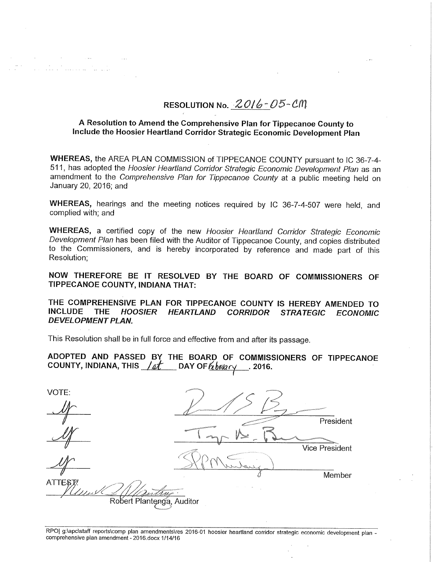# RESOLUTION No. 2016-05-CM

#### <sup>A</sup> Resolution to Amend the Comprehensive Plan for Tippecanoe County to Include the Hoosier Heartland Corridor Strategic Economic Development Plan

WHEREAS, the AREA PLAN COMMISSION of TIPPECANOE COUNTY pursuant to IC 36—7—4- 511, has adopted the Hoosier Heartland Corridor Strategic Economic Development Plan as an amendment to the Comprehensive Plan for Tippecanoe County at <sup>a</sup> public meeting held on January 20, 2016; and

WHEREAS, hearings and the meeting notices required by IC 36-7-4-507 were held, and complied with; and

WHEREAS, a certified copy of the new Hoosier Heartland Corridor Strategic Economic Development Plan has been filed with the Auditor of Tippecanoe County, and copies distributed to the Commissioners, and is hereby incorporated by reference and made part of this Resolution;

NOW THEREFORE BE IT RESOLVED BY THE BOARD OF COMMISSIONERS OF TIPPECANOE COUNTY, INDIANA THAT:

THE COMPREHENSIVE PLAN FOR TIPPECANOE COUNTY IS HEREBY AMENDED TO INCLUDE THE HOOSIER HEARTLAND CORRIDOR STRATEGIC ECONOMIC DEVELOPMENT PLAN.

This Resolution shall be in full force and effective from and after its passage.

ADOPTED AND PASSED BY THE BOARD OF COMMISSIONERS OF TIPPECANOE COUNTY, INDIANA, THIS  $\sqrt{\text{at}}$  DAY OF  $\frac{\text{b}}{\text{b}}$  Day  $\sim$  2016.

| VOTE:                     |                                                                                                                                                                                                                                      |                                    |
|---------------------------|--------------------------------------------------------------------------------------------------------------------------------------------------------------------------------------------------------------------------------------|------------------------------------|
|                           |                                                                                                                                                                                                                                      | <b>CONTRACTOR IN A DISTURBANCE</b> |
|                           |                                                                                                                                                                                                                                      | President                          |
|                           | <b>Northern Communication of the American State of the American State Of the American State Of the American State Of the American State Of the American State Of the American State Of the American State Of the American State </b> |                                    |
|                           |                                                                                                                                                                                                                                      | <b>Vice President</b>              |
|                           |                                                                                                                                                                                                                                      |                                    |
|                           |                                                                                                                                                                                                                                      | Member                             |
| ATTEST!                   |                                                                                                                                                                                                                                      |                                    |
| Robert Plantenga, Auditor |                                                                                                                                                                                                                                      |                                    |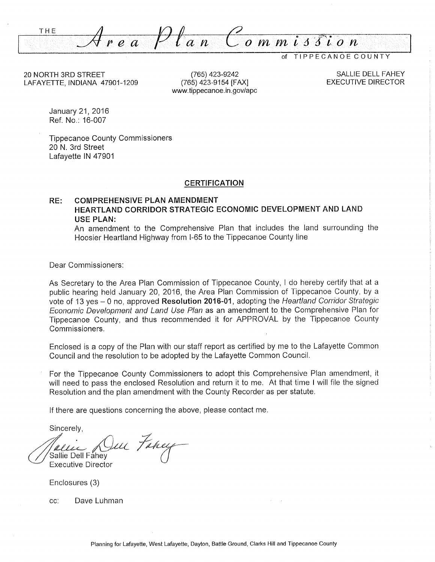THE  $\overline{y}$   $\overline{y}$   $\overline{y}$   $\overline{y}$   $\overline{y}$   $\overline{y}$   $\overline{y}$   $\overline{y}$   $\overline{y}$   $\overline{y}$   $\overline{y}$   $\overline{y}$   $\overline{y}$   $\overline{y}$   $\overline{y}$   $\overline{y}$   $\overline{y}$   $\overline{y}$   $\overline{y}$   $\overline{y}$   $\overline{y}$   $\overline{y}$   $\overline{y}$   $\overline{y}$ 

of TIPPECANOE COUNTY

20 NORTH 3RD STREET (765) 423-9242 SALLIE DELL FAHEY LAFAYETTE, INDIANA 47901-1209 (765) 423-9154 [FAX]

www.tippecanoe.in.gov/apc

January 21, 2016 Ref. No.: 16-007

Tippecanoe County Commissioners 20 N. 3rd Street Lafayette IN 47901

#### **CERTIFICATION**

#### RE: COMPREHENSIVE PLAN AMENDMENT HEARTLAND CORRIDOR STRATEGIC ECONOMIC DEVELOPMENT AND LAND USE PLAN:

An amendment to the Comprehensive Plan that includes the land surrounding the Hoosier Heartland Highway from I-65 to the Tippecanoe County line

Dear Commissioners:

As Secretary to the Area Plan Commission of Tippecanoe County, <sup>I</sup> do hereby certify that at <sup>a</sup> public hearing held January 20, 2016, the Area Plan Commission of Tippecanoe County, by <sup>a</sup> vote of 13 yes - 0 no, approved Resolution 2016-01, adopting the Heartland Corridor Strategic Economic Deve/opment and Land Use Plan as an amendment to the Comprehensive Plan for Tippecanoe County, and thus recommended it for APPROVAL by the Tippecanoe County Commissioners.

Enclosed is <sup>a</sup> copy of the Plan with our staff report as certified by me to the Lafayette Common Council and the resolution to be adopted by the Lafayette Common Council.

For the Tippecanoe County Commissioners to adopt this Comprehensive Plan amendment, it will need to pass the enclosed Resolution and return it to me. At that time <sup>I</sup> will file the signed Resolution and the plan amendment with the County Recorder as per statute.

If there are questions concerning the above, please contact me.

Sincerely,

 $\ell$  . Sallie Dell Fåhev ur Fancy Executive Director

Enclosures (3)

cc: Dave Luhman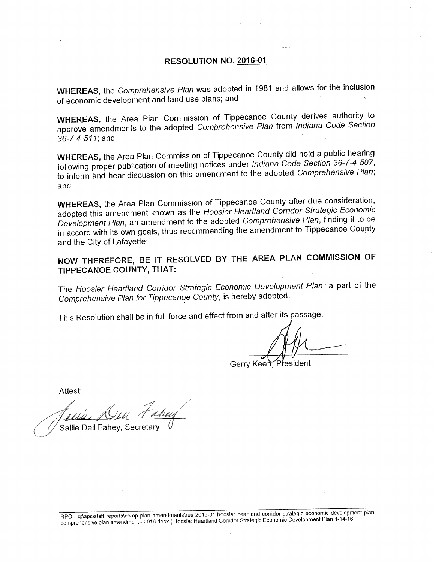### RESOLUTION NO. 2016—01

WHEREAS, the Comprehensive Plan was adopted in <sup>1981</sup> and allows for the inclusion of economic development and land use plans; and

WHEREAS, the Area Plan Commission of Tippecanoe County derives authority to approve amendments to the adopted Comprehensive Plan from lndiana Code Section 36-7-4-511; and

WHEREAS, the Area Plan Commission of Tippecanoe County did hold <sup>a</sup> public hearing following proper publication of meeting notices under lndiana Code Section 36-7—4—507, to inform and hear discussion on this amendment to the adopted Comprehensive Plan; and

WHEREAS, the Area Plan Commission of Tippecanoe County after due consideration, adopted this amendment known as the Hoosier Heartland Corridor Strategic Economic Development Plan, an amendment to the adopted Comprehensive Plan, finding it to be in accord with its own goals, thus recommending the amendment to Tippecanoe County and the City of Lafayette;

NOW THEREFORE, BE IT RESOLVED BY THE AREA PLAN COMMISSION OF TIPPECANOE COUNTY, THAT:

The Hoosier Heartland Corridor Strategic Economic Development Plan; <sup>a</sup> part of the Comprehensive Plan for Tippecanoe County, is hereby adopted.

This Resolution shall be in full force and effect from and after its passage.

President Gerry Keen,

Attest:

Sallie Dell Fahey, Secretary

RPO | g:\apc\staff reports\comp plan amendments\res 2016-01 hoosier heartland corridor strategic economic development plan comprehensive plan amendment - 2016.docx <sup>|</sup> Hoosier Heartland Corridor Strategic Economic Development Plan 1-14—16